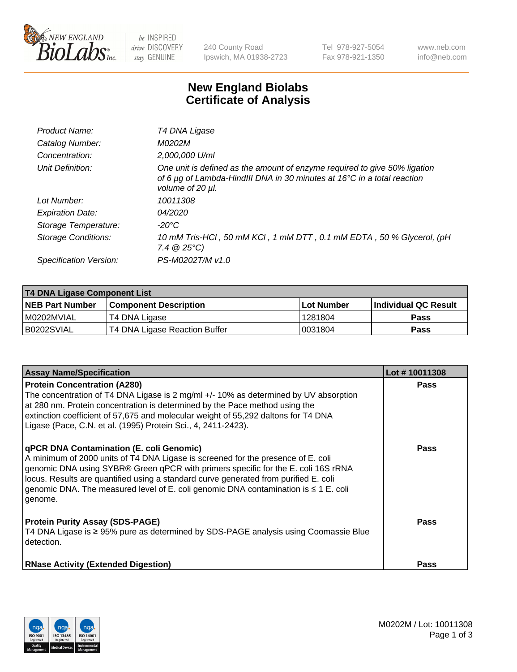

 $be$  INSPIRED drive DISCOVERY stay GENUINE

240 County Road Ipswich, MA 01938-2723 Tel 978-927-5054 Fax 978-921-1350 www.neb.com info@neb.com

## **New England Biolabs Certificate of Analysis**

| Product Name:              | T4 DNA Ligase                                                                                                                                                            |
|----------------------------|--------------------------------------------------------------------------------------------------------------------------------------------------------------------------|
| Catalog Number:            | M0202M                                                                                                                                                                   |
| Concentration:             | 2,000,000 U/ml                                                                                                                                                           |
| Unit Definition:           | One unit is defined as the amount of enzyme required to give 50% ligation<br>of 6 µg of Lambda-HindIII DNA in 30 minutes at 16°C in a total reaction<br>volume of 20 µl. |
| Lot Number:                | 10011308                                                                                                                                                                 |
| <b>Expiration Date:</b>    | 04/2020                                                                                                                                                                  |
| Storage Temperature:       | -20°C                                                                                                                                                                    |
| <b>Storage Conditions:</b> | 10 mM Tris-HCl, 50 mM KCl, 1 mM DTT, 0.1 mM EDTA, 50 % Glycerol, (pH<br>$7.4 \ @ 25^{\circ}C$                                                                            |
| Specification Version:     | PS-M0202T/M v1.0                                                                                                                                                         |
|                            |                                                                                                                                                                          |

| <b>T4 DNA Ligase Component List</b> |                               |                   |                      |  |
|-------------------------------------|-------------------------------|-------------------|----------------------|--|
| <b>NEB Part Number</b>              | <b>Component Description</b>  | <b>Lot Number</b> | Individual QC Result |  |
| M0202MVIAL                          | T4 DNA Ligase                 | 1281804           | <b>Pass</b>          |  |
| B0202SVIAL                          | T4 DNA Ligase Reaction Buffer | 10031804          | <b>Pass</b>          |  |

| <b>Assay Name/Specification</b>                                                                                                                                                                                                                                                                                                                                                                             | Lot #10011308 |
|-------------------------------------------------------------------------------------------------------------------------------------------------------------------------------------------------------------------------------------------------------------------------------------------------------------------------------------------------------------------------------------------------------------|---------------|
| <b>Protein Concentration (A280)</b><br>The concentration of T4 DNA Ligase is 2 mg/ml $+/-10\%$ as determined by UV absorption<br>at 280 nm. Protein concentration is determined by the Pace method using the<br>extinction coefficient of 57,675 and molecular weight of 55,292 daltons for T4 DNA<br>Ligase (Pace, C.N. et al. (1995) Protein Sci., 4, 2411-2423).                                         | <b>Pass</b>   |
| qPCR DNA Contamination (E. coli Genomic)<br>A minimum of 2000 units of T4 DNA Ligase is screened for the presence of E. coli<br>genomic DNA using SYBR® Green qPCR with primers specific for the E. coli 16S rRNA<br>locus. Results are quantified using a standard curve generated from purified E. coli<br>genomic DNA. The measured level of E. coli genomic DNA contamination is ≤ 1 E. coli<br>genome. | <b>Pass</b>   |
| <b>Protein Purity Assay (SDS-PAGE)</b><br>T4 DNA Ligase is ≥ 95% pure as determined by SDS-PAGE analysis using Coomassie Blue<br>detection.                                                                                                                                                                                                                                                                 | Pass          |
| <b>RNase Activity (Extended Digestion)</b>                                                                                                                                                                                                                                                                                                                                                                  | <b>Pass</b>   |

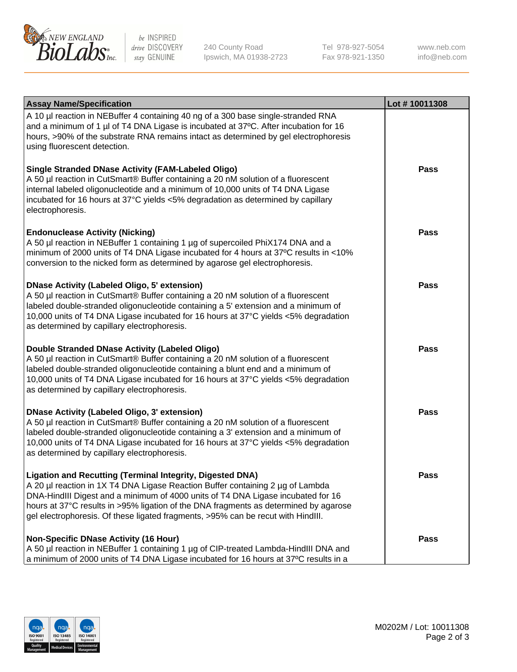

be INSPIRED drive DISCOVERY stay GENUINE

240 County Road Ipswich, MA 01938-2723 Tel 978-927-5054 Fax 978-921-1350

www.neb.com info@neb.com

| <b>Assay Name/Specification</b>                                                                                                                                                                                                                                                                                                                                                                                    | Lot #10011308 |
|--------------------------------------------------------------------------------------------------------------------------------------------------------------------------------------------------------------------------------------------------------------------------------------------------------------------------------------------------------------------------------------------------------------------|---------------|
| A 10 µl reaction in NEBuffer 4 containing 40 ng of a 300 base single-stranded RNA<br>and a minimum of 1 µl of T4 DNA Ligase is incubated at 37°C. After incubation for 16<br>hours, >90% of the substrate RNA remains intact as determined by gel electrophoresis<br>using fluorescent detection.                                                                                                                  |               |
| <b>Single Stranded DNase Activity (FAM-Labeled Oligo)</b><br>A 50 µl reaction in CutSmart® Buffer containing a 20 nM solution of a fluorescent<br>internal labeled oligonucleotide and a minimum of 10,000 units of T4 DNA Ligase<br>incubated for 16 hours at 37°C yields <5% degradation as determined by capillary<br>electrophoresis.                                                                          | <b>Pass</b>   |
| <b>Endonuclease Activity (Nicking)</b><br>A 50 µl reaction in NEBuffer 1 containing 1 µg of supercoiled PhiX174 DNA and a<br>minimum of 2000 units of T4 DNA Ligase incubated for 4 hours at 37°C results in <10%<br>conversion to the nicked form as determined by agarose gel electrophoresis.                                                                                                                   | <b>Pass</b>   |
| <b>DNase Activity (Labeled Oligo, 5' extension)</b><br>A 50 µl reaction in CutSmart® Buffer containing a 20 nM solution of a fluorescent<br>labeled double-stranded oligonucleotide containing a 5' extension and a minimum of<br>10,000 units of T4 DNA Ligase incubated for 16 hours at 37°C yields <5% degradation<br>as determined by capillary electrophoresis.                                               | <b>Pass</b>   |
| Double Stranded DNase Activity (Labeled Oligo)<br>A 50 µl reaction in CutSmart® Buffer containing a 20 nM solution of a fluorescent<br>labeled double-stranded oligonucleotide containing a blunt end and a minimum of<br>10,000 units of T4 DNA Ligase incubated for 16 hours at 37°C yields <5% degradation<br>as determined by capillary electrophoresis.                                                       | <b>Pass</b>   |
| <b>DNase Activity (Labeled Oligo, 3' extension)</b><br>A 50 µl reaction in CutSmart® Buffer containing a 20 nM solution of a fluorescent<br>labeled double-stranded oligonucleotide containing a 3' extension and a minimum of<br>10,000 units of T4 DNA Ligase incubated for 16 hours at 37°C yields <5% degradation<br>as determined by capillary electrophoresis.                                               | <b>Pass</b>   |
| <b>Ligation and Recutting (Terminal Integrity, Digested DNA)</b><br>A 20 µl reaction in 1X T4 DNA Ligase Reaction Buffer containing 2 µg of Lambda<br>DNA-HindIII Digest and a minimum of 4000 units of T4 DNA Ligase incubated for 16<br>hours at 37°C results in >95% ligation of the DNA fragments as determined by agarose<br>gel electrophoresis. Of these ligated fragments, >95% can be recut with HindIII. | <b>Pass</b>   |
| <b>Non-Specific DNase Activity (16 Hour)</b><br>A 50 µl reaction in NEBuffer 1 containing 1 µg of CIP-treated Lambda-HindIII DNA and<br>a minimum of 2000 units of T4 DNA Ligase incubated for 16 hours at 37°C results in a                                                                                                                                                                                       | <b>Pass</b>   |